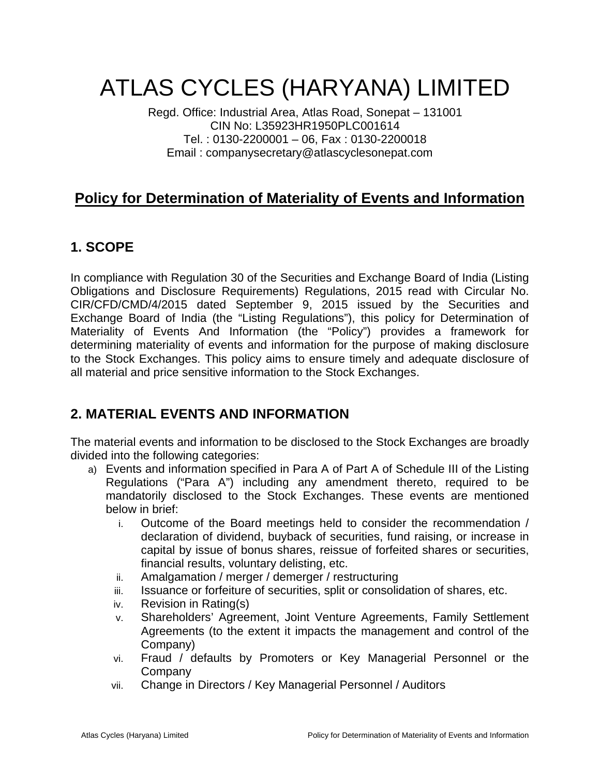# ATLAS CYCLES (HARYANA) LIMITED

Regd. Office: Industrial Area, Atlas Road, Sonepat – 131001 CIN No: L35923HR1950PLC001614 Tel. : 0130-2200001 – 06, Fax : 0130-2200018 Email : companysecretary@atlascyclesonepat.com

# **Policy for Determination of Materiality of Events and Information**

# **1. SCOPE**

In compliance with Regulation 30 of the Securities and Exchange Board of India (Listing Obligations and Disclosure Requirements) Regulations, 2015 read with Circular No. CIR/CFD/CMD/4/2015 dated September 9, 2015 issued by the Securities and Exchange Board of India (the "Listing Regulations"), this policy for Determination of Materiality of Events And Information (the "Policy") provides a framework for determining materiality of events and information for the purpose of making disclosure to the Stock Exchanges. This policy aims to ensure timely and adequate disclosure of all material and price sensitive information to the Stock Exchanges.

# **2. MATERIAL EVENTS AND INFORMATION**

The material events and information to be disclosed to the Stock Exchanges are broadly divided into the following categories:

- a) Events and information specified in Para A of Part A of Schedule III of the Listing Regulations ("Para A") including any amendment thereto, required to be mandatorily disclosed to the Stock Exchanges. These events are mentioned below in brief:
	- i. Outcome of the Board meetings held to consider the recommendation / declaration of dividend, buyback of securities, fund raising, or increase in capital by issue of bonus shares, reissue of forfeited shares or securities, financial results, voluntary delisting, etc.
	- ii. Amalgamation / merger / demerger / restructuring
	- iii. Issuance or forfeiture of securities, split or consolidation of shares, etc.
	- iv. Revision in Rating(s)
	- v. Shareholders' Agreement, Joint Venture Agreements, Family Settlement Agreements (to the extent it impacts the management and control of the Company)
	- vi. Fraud / defaults by Promoters or Key Managerial Personnel or the **Company**
	- vii. Change in Directors / Key Managerial Personnel / Auditors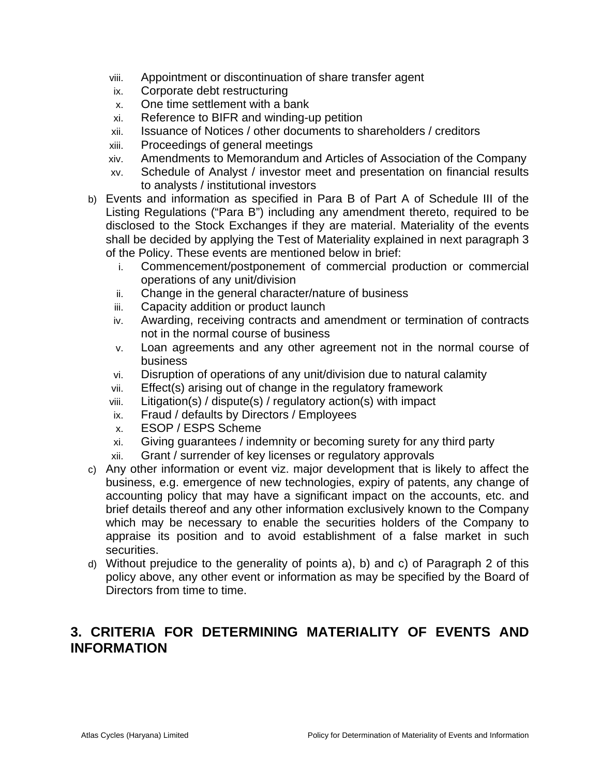- viii. Appointment or discontinuation of share transfer agent
- ix. Corporate debt restructuring
- x. One time settlement with a bank
- xi. Reference to BIFR and winding-up petition
- xii. Issuance of Notices / other documents to shareholders / creditors
- xiii. Proceedings of general meetings
- xiv. Amendments to Memorandum and Articles of Association of the Company
- xv. Schedule of Analyst / investor meet and presentation on financial results to analysts / institutional investors
- b) Events and information as specified in Para B of Part A of Schedule III of the Listing Regulations ("Para B") including any amendment thereto, required to be disclosed to the Stock Exchanges if they are material. Materiality of the events shall be decided by applying the Test of Materiality explained in next paragraph 3 of the Policy. These events are mentioned below in brief:
	- i. Commencement/postponement of commercial production or commercial operations of any unit/division
	- ii. Change in the general character/nature of business
	- iii. Capacity addition or product launch
	- iv. Awarding, receiving contracts and amendment or termination of contracts not in the normal course of business
	- v. Loan agreements and any other agreement not in the normal course of business
	- vi. Disruption of operations of any unit/division due to natural calamity
	- vii. Effect(s) arising out of change in the regulatory framework
	- viii. Litigation(s) / dispute(s) / regulatory action(s) with impact
	- ix. Fraud / defaults by Directors / Employees
	- x. ESOP / ESPS Scheme
	- xi. Giving guarantees / indemnity or becoming surety for any third party
	- xii. Grant / surrender of key licenses or regulatory approvals
- c) Any other information or event viz. major development that is likely to affect the business, e.g. emergence of new technologies, expiry of patents, any change of accounting policy that may have a significant impact on the accounts, etc. and brief details thereof and any other information exclusively known to the Company which may be necessary to enable the securities holders of the Company to appraise its position and to avoid establishment of a false market in such securities.
- d) Without prejudice to the generality of points a), b) and c) of Paragraph 2 of this policy above, any other event or information as may be specified by the Board of Directors from time to time.

#### **3. CRITERIA FOR DETERMINING MATERIALITY OF EVENTS AND INFORMATION**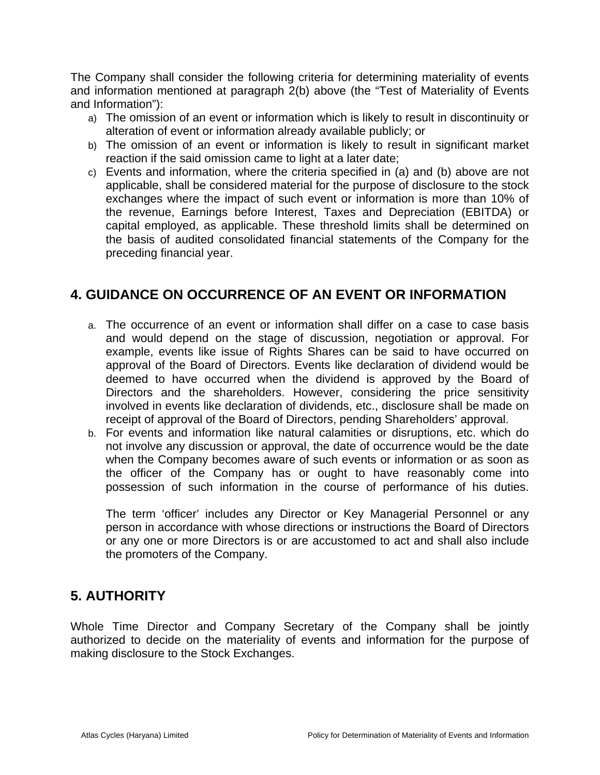The Company shall consider the following criteria for determining materiality of events and information mentioned at paragraph 2(b) above (the "Test of Materiality of Events and Information"):

- a) The omission of an event or information which is likely to result in discontinuity or alteration of event or information already available publicly; or
- b) The omission of an event or information is likely to result in significant market reaction if the said omission came to light at a later date;
- c) Events and information, where the criteria specified in (a) and (b) above are not applicable, shall be considered material for the purpose of disclosure to the stock exchanges where the impact of such event or information is more than 10% of the revenue, Earnings before Interest, Taxes and Depreciation (EBITDA) or capital employed, as applicable. These threshold limits shall be determined on the basis of audited consolidated financial statements of the Company for the preceding financial year.

# **4. GUIDANCE ON OCCURRENCE OF AN EVENT OR INFORMATION**

- a. The occurrence of an event or information shall differ on a case to case basis and would depend on the stage of discussion, negotiation or approval. For example, events like issue of Rights Shares can be said to have occurred on approval of the Board of Directors. Events like declaration of dividend would be deemed to have occurred when the dividend is approved by the Board of Directors and the shareholders. However, considering the price sensitivity involved in events like declaration of dividends, etc., disclosure shall be made on receipt of approval of the Board of Directors, pending Shareholders' approval.
- b. For events and information like natural calamities or disruptions, etc. which do not involve any discussion or approval, the date of occurrence would be the date when the Company becomes aware of such events or information or as soon as the officer of the Company has or ought to have reasonably come into possession of such information in the course of performance of his duties.

The term 'officer' includes any Director or Key Managerial Personnel or any person in accordance with whose directions or instructions the Board of Directors or any one or more Directors is or are accustomed to act and shall also include the promoters of the Company.

# **5. AUTHORITY**

Whole Time Director and Company Secretary of the Company shall be jointly authorized to decide on the materiality of events and information for the purpose of making disclosure to the Stock Exchanges.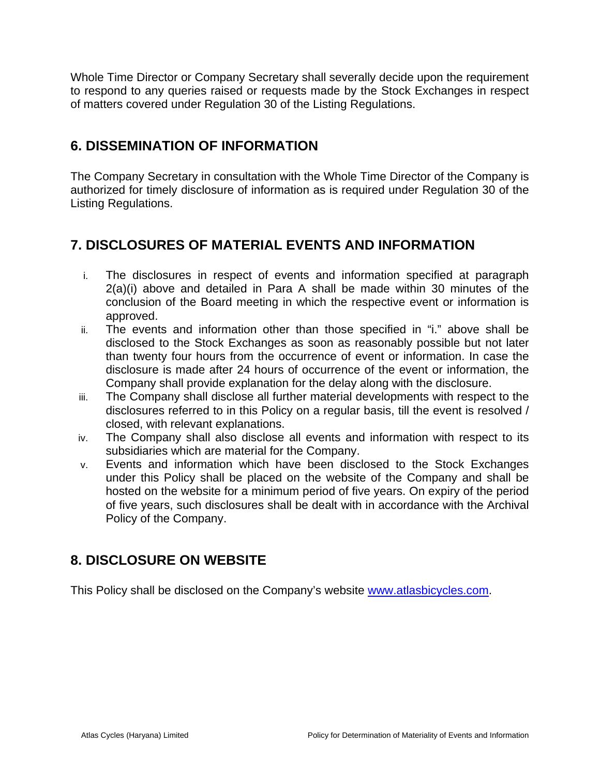Whole Time Director or Company Secretary shall severally decide upon the requirement to respond to any queries raised or requests made by the Stock Exchanges in respect of matters covered under Regulation 30 of the Listing Regulations.

# **6. DISSEMINATION OF INFORMATION**

The Company Secretary in consultation with the Whole Time Director of the Company is authorized for timely disclosure of information as is required under Regulation 30 of the Listing Regulations.

# **7. DISCLOSURES OF MATERIAL EVENTS AND INFORMATION**

- i. The disclosures in respect of events and information specified at paragraph 2(a)(i) above and detailed in Para A shall be made within 30 minutes of the conclusion of the Board meeting in which the respective event or information is approved.
- ii. The events and information other than those specified in "i." above shall be disclosed to the Stock Exchanges as soon as reasonably possible but not later than twenty four hours from the occurrence of event or information. In case the disclosure is made after 24 hours of occurrence of the event or information, the Company shall provide explanation for the delay along with the disclosure.
- iii. The Company shall disclose all further material developments with respect to the disclosures referred to in this Policy on a regular basis, till the event is resolved / closed, with relevant explanations.
- iv. The Company shall also disclose all events and information with respect to its subsidiaries which are material for the Company.
- v. Events and information which have been disclosed to the Stock Exchanges under this Policy shall be placed on the website of the Company and shall be hosted on the website for a minimum period of five years. On expiry of the period of five years, such disclosures shall be dealt with in accordance with the Archival Policy of the Company.

# **8. DISCLOSURE ON WEBSITE**

This Policy shall be disclosed on the Company's website www.atlasbicycles.com.